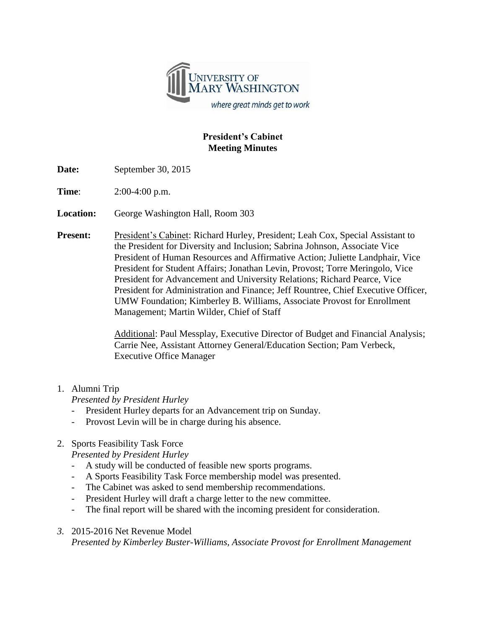

### **President's Cabinet Meeting Minutes**

**Date:** September 30, 2015

**Time**: 2:00-4:00 p.m.

**Location:** George Washington Hall, Room 303

**Present:** President's Cabinet: Richard Hurley, President; Leah Cox, Special Assistant to the President for Diversity and Inclusion; Sabrina Johnson, Associate Vice President of Human Resources and Affirmative Action; Juliette Landphair, Vice President for Student Affairs; Jonathan Levin, Provost; Torre Meringolo, Vice President for Advancement and University Relations; Richard Pearce, Vice President for Administration and Finance; Jeff Rountree, Chief Executive Officer, UMW Foundation; Kimberley B. Williams, Associate Provost for Enrollment Management; Martin Wilder, Chief of Staff

> Additional: Paul Messplay, Executive Director of Budget and Financial Analysis; Carrie Nee, Assistant Attorney General/Education Section; Pam Verbeck, Executive Office Manager

## 1. Alumni Trip

*Presented by President Hurley*

- President Hurley departs for an Advancement trip on Sunday.
- Provost Levin will be in charge during his absence.

# 2. Sports Feasibility Task Force

*Presented by President Hurley*

- A study will be conducted of feasible new sports programs.
- A Sports Feasibility Task Force membership model was presented.
- The Cabinet was asked to send membership recommendations.
- President Hurley will draft a charge letter to the new committee.
- The final report will be shared with the incoming president for consideration.

#### *3.* 2015-2016 Net Revenue Model

*Presented by Kimberley Buster-Williams, Associate Provost for Enrollment Management*